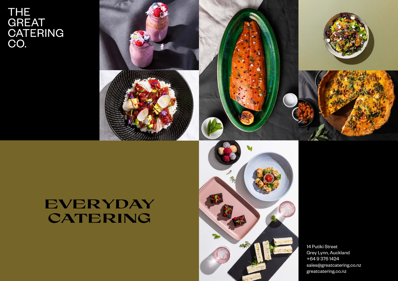# THE<br>GREAT<br>CATERING<br>CO.



# **EVERYDAY CATERING**



14 Putiki Street Grey Lynn, Auckland +64 9 376 1424 sales@greatcatering.co.nz greatcatering.co.nz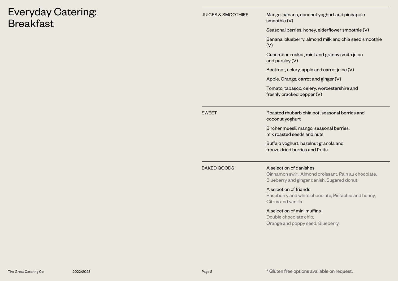# Everyday Catering: **Breakfast**

|  | <b>JUICES &amp; SMOOTHIES</b> | Mango, banana, coconut yoghurt and pineapple<br>smoothie (V)                                                                  |
|--|-------------------------------|-------------------------------------------------------------------------------------------------------------------------------|
|  |                               | Seasonal berries, honey, elderflower smoothie (V)                                                                             |
|  |                               | Banana, blueberry, almond milk and chia seed smoothie<br>(V)                                                                  |
|  |                               | Cucumber, rocket, mint and granny smith juice<br>and parsley (V)                                                              |
|  |                               | Beetroot, celery, apple and carrot juice (V)                                                                                  |
|  |                               | Apple, Orange, carrot and ginger (V)                                                                                          |
|  |                               | Tomato, tabasco, celery, worcestershire and<br>freshly cracked pepper (V)                                                     |
|  | <b>SWEET</b>                  | Roasted rhubarb chia pot, seasonal berries and<br>coconut yoghurt                                                             |
|  |                               | Bircher muesli, mango, seasonal berries,<br>mix roasted seeds and nuts                                                        |
|  |                               | Buffalo yoghurt, hazelnut granola and<br>freeze dried berries and fruits                                                      |
|  | <b>BAKED GOODS</b>            | A selection of danishes<br>Cinnamon swirl, Almond croissant, Pain au chocolate,<br>Blueberry and ginger danish, Sugared donut |
|  |                               | A selection of friands<br>Raspberry and white chocolate, Pistachio and honey,<br>Citrus and vanilla                           |
|  |                               | A selection of mini muffins<br>Double chocolate chip,<br>Orange and poppy seed, Blueberry                                     |
|  |                               |                                                                                                                               |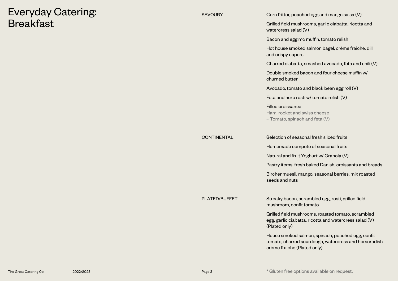## Everyday Catering: **Breakfast**

| SAVOURY              | Corn fritter, poached egg and mango salsa (V)                                                                                 |
|----------------------|-------------------------------------------------------------------------------------------------------------------------------|
|                      | Grilled field mushrooms, garlic ciabatta, ricotta and<br>watercress salad (V)                                                 |
|                      | Bacon and egg mc muffin, tomato relish                                                                                        |
|                      | Hot house smoked salmon bagel, crème fraiche, dill<br>and crispy capers                                                       |
|                      | Charred ciabatta, smashed avocado, feta and chili (V)                                                                         |
|                      | Double smoked bacon and four cheese muffin w/<br>churned butter                                                               |
|                      | Avocado, tomato and black bean egg roll (V)                                                                                   |
|                      | Feta and herb rosti w/ tomato relish (V)                                                                                      |
|                      | Filled croissants:<br>Ham, rocket and swiss cheese<br>- Tomato, spinach and feta (V)                                          |
|                      |                                                                                                                               |
| <b>CONTINENTAL</b>   | Selection of seasonal fresh sliced fruits                                                                                     |
|                      | Homemade compote of seasonal fruits                                                                                           |
|                      | Natural and fruit Yoghurt w/ Granola (V)                                                                                      |
|                      | Pastry items, fresh baked Danish, croissants and breads                                                                       |
|                      | Bircher muesli, mango, seasonal berries, mix roasted<br>seeds and nuts                                                        |
| <b>PLATED/BUFFET</b> | Streaky bacon, scrambled egg, rosti, grilled field<br>mushroom, confit tomato                                                 |
|                      | Grilled field mushrooms, roasted tomato, scrambled<br>egg, garlic ciabatta, ricotta and watercress salad (V)<br>(Plated only) |

The Great Catering Co. 2022/2023 2023 2008 2022/2023 20:30 Page 3 \* Gluten free options available on request.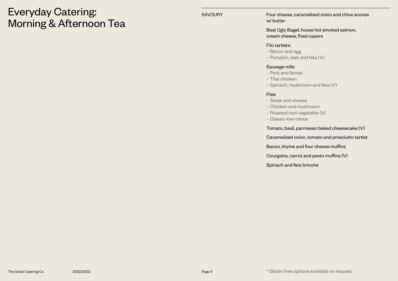## Everyday Catering: Morning & Afternoon Tea

SAVOURY **Four cheese, caramelized onion and chive scones** w/ butter

> Best Ugly Bagel, house hot smoked salmon, cream cheese, fried capers

#### Filo tartlets:

- Bacon and egg
- Pumpkin, leek and feta (V)

#### Sausage rolls:

- Pork and fennel
- Thai chicken
- Spinach, mushroom and feta (V)

#### Pies:

- Steak and cheese
- Chicken and mushroom
- Roasted root vegetable (V)
- Classic kiwi mince

Tomato, basil, parmesan baked cheesecake (V)

Caramelized onion, tomato and prosciutto tartlet

Bacon, thyme and four cheese muffins

Courgette, carrot and pesto muffins (V)

Spinach and feta brioche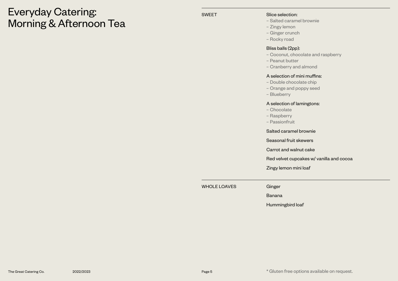## Everyday Catering: Morning & Afternoon Tea

#### SWEET SWEET Slice selection:

- Salted caramel brownie
- Zingy lemon
- Ginger crunch
- Rocky road

#### Bliss balls (2pp):

- Coconut, chocolate and raspberry
- Peanut butter
- Cranberry and almond

#### A selection of mini muffins:

- Double chocolate chip
- Orange and poppy seed
- Blueberry

#### A selection of lamingtons:

- Chocolate
- Raspberry
- Passionfruit

Salted caramel brownie

Seasonal fruit skewers

Carrot and walnut cake

Red velvet cupcakes w/ vanilla and cocoa

Zingy lemon mini loaf

WHOLE LOAVES Ginger

Banana

Hummingbird loaf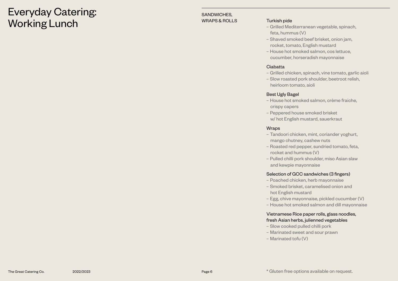## Everyday Catering: Working Lunch

#### SANDWICHES, WRAPS & ROLLS Turkish pide

- Grilled Mediterranean vegetable, spinach, feta, hummus (V)
- Shaved smoked beef brisket, onion jam, rocket, tomato, English mustard
- House hot smoked salmon, cos lettuce, cucumber, horseradish mayonnaise

## Ciabatta

- Grilled chicken, spinach, vine tomato, garlic aioli
- Slow roasted pork shoulder, beetroot relish, heirloom tomato, aioli

## Best Ugly Bagel

- House hot smoked salmon, crème fraiche, crispy capers
- Peppered house smoked brisket w/ hot English mustard, sauerkraut

### **Wraps**

- Tandoori chicken, mint, coriander yoghurt, mango chutney, cashew nuts
- Roasted red pepper, sundried tomato, feta, rocket and hummus (V)
- Pulled chilli pork shoulder, miso Asian slaw and kewpie mayonnaise

## Selection of GCC sandwiches (3 fingers)

- Poached chicken, herb mayonnaise
- Smoked brisket, caramelised onion and hot English mustard
- Egg, chive mayonnaise, pickled cucumber (V)
- House hot smoked salmon and dill mayonnaise

## Vietnamese Rice paper rolls, glass noodles, fresh Asian herbs, julienned vegetables

- Slow cooked pulled chilli pork
- Marinated sweet and sour prawn
- Marinated tofu (V)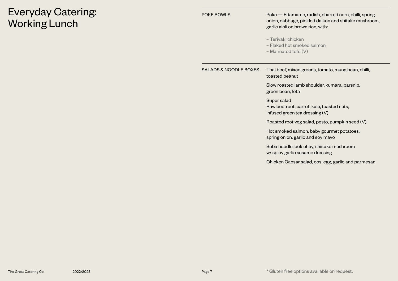# Everyday Catering: Working Lunch

POKE BOWLS POKE POKE POKE POKE POKE POKE BOWLS onion, cabbage, pickled daikon and shitake mushroom, garlic aioli on brown rice, with:

- Teriyaki chicken
- Flaked hot smoked salmon
- Marinated tofu (V)

| SALADS & NOODLE BOXES | Thai beef, mixed greens, tomato, mung bean, chilli,<br>toasted peanut                      |
|-----------------------|--------------------------------------------------------------------------------------------|
|                       | Slow roasted lamb shoulder, kumara, parsnip,<br>green bean, feta                           |
|                       | Super salad<br>Raw beetroot, carrot, kale, toasted nuts,<br>infused green tea dressing (V) |
|                       | Roasted root veg salad, pesto, pumpkin seed (V)                                            |
|                       | Hot smoked salmon, baby gourmet potatoes,<br>spring onion, garlic and soy mayo             |
|                       | Soba noodle, bok choy, shiitake mushroom<br>w/ spicy garlic sesame dressing                |
|                       | Chicken Caesar salad, cos, egg, garlic and parmesan                                        |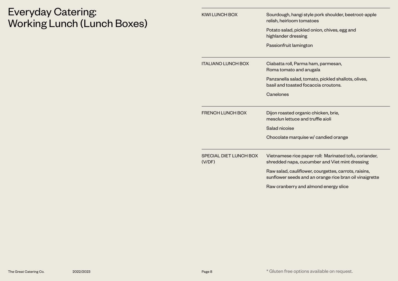# Everyday Catering: Working Lunch (Lunch Boxes)

| <b>KIWI LUNCH BOX</b>            | Sourdough, hangi style pork shoulder, beetroot-apple<br>relish, heirloom tomatoes                                |
|----------------------------------|------------------------------------------------------------------------------------------------------------------|
|                                  | Potato salad, pickled onion, chives, egg and<br>highlander dressing                                              |
|                                  | Passionfruit lamington                                                                                           |
| <b>ITALIANO LUNCH BOX</b>        | Ciabatta roll, Parma ham, parmesan,<br>Roma tomato and arugala                                                   |
|                                  | Panzanella salad, tomato, pickled shallots, olives,<br>basil and toasted focaccia croutons.                      |
|                                  | Canelones                                                                                                        |
| <b>FRENCH LUNCH BOX</b>          | Dijon roasted organic chicken, brie,<br>mesclun lettuce and truffle aioli                                        |
|                                  | Salad nicoise                                                                                                    |
|                                  | Chocolate marquise w/ candied orange                                                                             |
| SPECIAL DIET LUNCH BOX<br>(V/DF) | Vietnamese rice paper roll: Marinated tofu, coriander,<br>shredded napa, cucumber and Viet mint dressing         |
|                                  | Raw salad, cauliflower, courgettes, carrots, raisins,<br>sunflower seeds and an orange rice bran oil vinaigrette |
|                                  | Raw cranberry and almond energy slice                                                                            |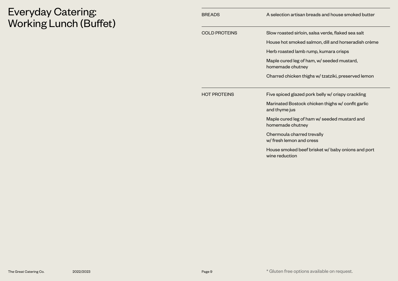# Everyday Catering: Working Lunch (Buffet)

| <b>BREADS</b>        | A selection artisan breads and house smoked butter                  |
|----------------------|---------------------------------------------------------------------|
| <b>COLD PROTEINS</b> | Slow roasted sirloin, salsa verde, flaked sea salt                  |
|                      | House hot smoked salmon, dill and horseradish crème                 |
|                      | Herb roasted lamb rump, kumara crisps                               |
|                      | Maple cured leg of ham, w/ seeded mustard,<br>homemade chutney      |
|                      | Charred chicken thighs w/ tzatziki, preserved lemon                 |
| <b>HOT PROTEINS</b>  | Five spiced glazed pork belly w/ crispy crackling                   |
|                      | Marinated Bostock chicken thighs w/ confit garlic<br>and thyme jus  |
|                      | Maple cured leg of ham w/ seeded mustard and<br>homemade chutney    |
|                      | Chermoula charred trevally<br>w/ fresh lemon and cress              |
|                      | House smoked beef brisket w/ baby onions and port<br>wine reduction |
|                      |                                                                     |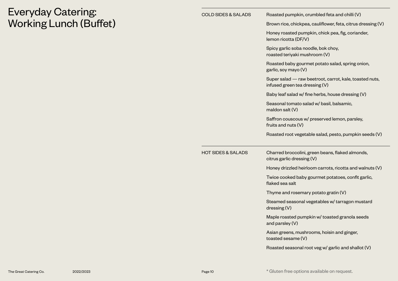# Everyday Catering: Working Lunch (Buffet)

| <b>COLD SIDES &amp; SALADS</b> | Roasted pumpkin, crumbled feta and chilli (V)                                             |
|--------------------------------|-------------------------------------------------------------------------------------------|
|                                | Brown rice, chickpea, cauliflower, feta, citrus dressing (V)                              |
|                                | Honey roasted pumpkin, chick pea, fig, coriander,<br>lemon ricotta (DF/V)                 |
|                                | Spicy garlic soba noodle, bok choy,<br>roasted teriyaki mushroom (V)                      |
|                                | Roasted baby gourmet potato salad, spring onion,<br>garlic, soy mayo (V)                  |
|                                | Super salad - raw beetroot, carrot, kale, toasted nuts,<br>infused green tea dressing (V) |
|                                | Baby leaf salad w/ fine herbs, house dressing (V)                                         |
|                                | Seasonal tomato salad w/ basil, balsamic,<br>maldon salt $(V)$                            |
|                                | Saffron couscous w/ preserved lemon, parsley,<br>fruits and nuts $(V)$                    |
|                                | Roasted root vegetable salad, pesto, pumpkin seeds (V)                                    |
|                                |                                                                                           |
| <b>HOT SIDES &amp; SALADS</b>  | Charred broccolini, green beans, flaked almonds,<br>citrus garlic dressing (V)            |
|                                | Honey drizzled heirloom carrots, ricotta and walnuts (V)                                  |
|                                | Twice cooked baby gourmet potatoes, confit garlic,<br>flaked sea salt                     |
|                                | Thyme and rosemary potato gratin (V)                                                      |
|                                | Steamed seasonal vegetables w/ tarragon mustard<br>dressing (V)                           |
|                                | Maple roasted pumpkin w/ toasted granola seeds<br>and parsley (V)                         |
|                                | Asian greens, mushrooms, hoisin and ginger,<br>toasted sesame (V)                         |
|                                | Roasted seasonal root veg w/ garlic and shallot (V)                                       |